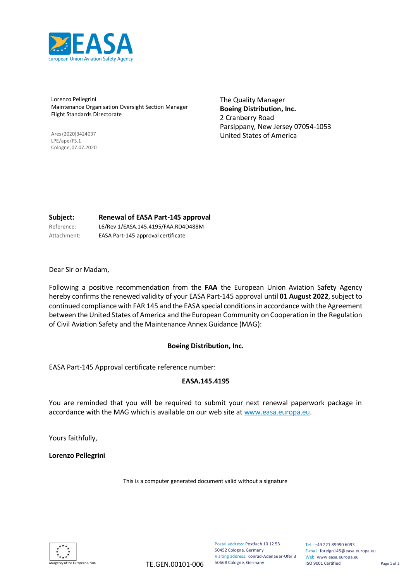

Lorenzo Pellegrini Maintenance Organisation Oversight Section Manager Flight Standards Directorate

Ares(2020)3424037 LPE/ape/FS.1 Cologne,07.07.2020 The Quality Manager **Boeing Distribution, Inc.**  2 Cranberry Road Parsippany, New Jersey 07054-1053 United States of America

## **Subject: Renewal of EASA Part-145 approval**

Reference: L6/Rev 1/EASA.145.4195/FAA.RD4D488M Attachment: EASA Part-145 approval certificate

Dear Sir or Madam,

Following a positive recommendation from the **FAA** the European Union Aviation Safety Agency hereby confirmsthe renewed validity of your EASA Part-145 approval until **01 August 2022**, subject to continued compliance with FAR 145 and the EASA special conditionsin accordance with the Agreement between the United States of America and the European Community on Cooperation in the Regulation of Civil Aviation Safety and the Maintenance Annex Guidance (MAG):

### **Boeing Distribution, Inc.**

EASA Part-145 Approval certificate reference number:

### **EASA.145.4195**

You are reminded that you will be required to submit your next renewal paperwork package in accordance with the MAG which is available on our web site a[t www.easa.europa.eu.](http://www.easa.europa.eu/)

Yours faithfully,

**Lorenzo Pellegrini**

This is a computer generated document valid without a signature



Postal address: Postfach 10 12 53 50452 Cologne, Germany Visiting address: Konrad-Adenauer-Ufer 3 50668 Cologne, Germany

Tel.: +49 221 89990 6093 E-mail[: foreign145@easa.europa.eu](mailto:foreign145@easa.europa.eu) Web[: www.easa.europa.eu](http://www.easa.europa.eu/) ISO 9001 Certified Page 1 of 2

 $\overline{A}$  an Union TE.GEN.00101-006